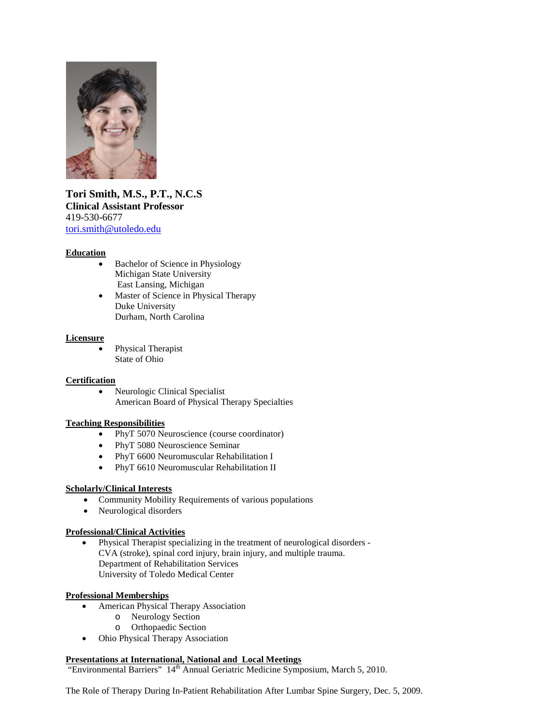

**Tori Smith, M.S., P.T., N.C.S Clinical Assistant Professor** 419-530-6677 [tori.smith@utoledo.edu](mailto:tori.smith@utoledo.edu)

#### **Education**

- Bachelor of Science in Physiology Michigan State University East Lansing, Michigan
- Master of Science in Physical Therapy Duke University Durham, North Carolina

#### **Licensure**

• Physical Therapist State of Ohio

#### **Certification**

• Neurologic Clinical Specialist American Board of Physical Therapy Specialties

#### **Teaching Responsibilities**

- PhyT 5070 Neuroscience (course coordinator)
- PhyT 5080 Neuroscience Seminar
- PhyT 6600 Neuromuscular Rehabilitation I
- PhyT 6610 Neuromuscular Rehabilitation II

#### **Scholarly/Clinical Interests**

- Community Mobility Requirements of various populations
- Neurological disorders

## **Professional/Clinical Activities**

• Physical Therapist specializing in the treatment of neurological disorders - CVA (stroke), spinal cord injury, brain injury, and multiple trauma. Department of Rehabilitation Services University of Toledo Medical Center

#### **Professional Memberships**

- American Physical Therapy Association
	- o Neurology Section
	- o Orthopaedic Section
- Ohio Physical Therapy Association

# **Presentations at International, National and Local Meetings**

"Environmental Barriers" 14<sup>th</sup> Annual Geriatric Medicine Symposium, March 5, 2010.

The Role of Therapy During In-Patient Rehabilitation After Lumbar Spine Surgery, Dec. 5, 2009.